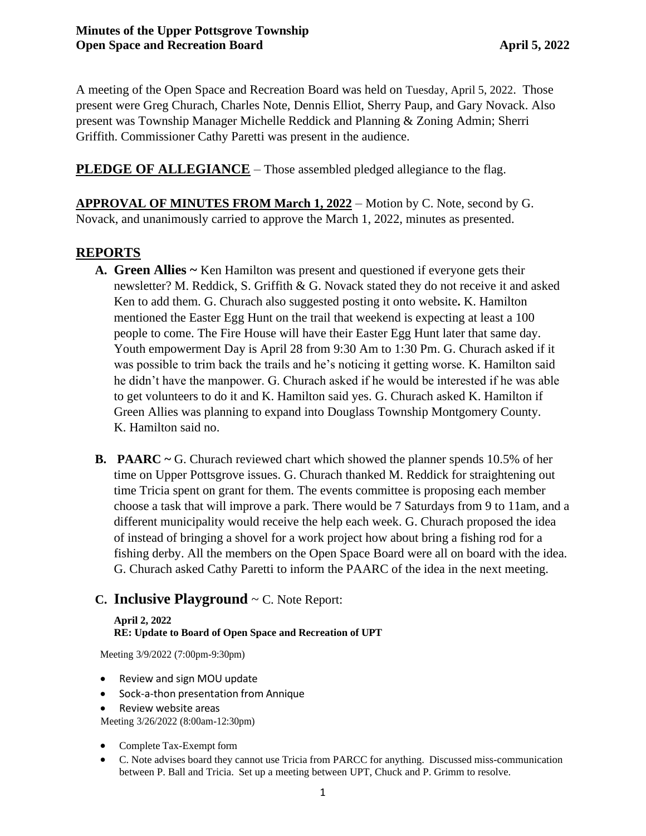A meeting of the Open Space and Recreation Board was held on Tuesday, April 5, 2022. Those present were Greg Churach, Charles Note, Dennis Elliot, Sherry Paup, and Gary Novack. Also present was Township Manager Michelle Reddick and Planning & Zoning Admin; Sherri Griffith. Commissioner Cathy Paretti was present in the audience.

**PLEDGE OF ALLEGIANCE** – Those assembled pledged allegiance to the flag.

**APPROVAL OF MINUTES FROM March 1, 2022** – Motion by C. Note, second by G. Novack, and unanimously carried to approve the March 1, 2022, minutes as presented.

# **REPORTS**

- **A. Green Allies ~** Ken Hamilton was present and questioned if everyone gets their newsletter? M. Reddick, S. Griffith & G. Novack stated they do not receive it and asked Ken to add them. G. Churach also suggested posting it onto website**.** K. Hamilton mentioned the Easter Egg Hunt on the trail that weekend is expecting at least a 100 people to come. The Fire House will have their Easter Egg Hunt later that same day. Youth empowerment Day is April 28 from 9:30 Am to 1:30 Pm. G. Churach asked if it was possible to trim back the trails and he's noticing it getting worse. K. Hamilton said he didn't have the manpower. G. Churach asked if he would be interested if he was able to get volunteers to do it and K. Hamilton said yes. G. Churach asked K. Hamilton if Green Allies was planning to expand into Douglass Township Montgomery County. K. Hamilton said no.
- **B. PAARC ~** G. Churach reviewed chart which showed the planner spends 10.5% of her time on Upper Pottsgrove issues. G. Churach thanked M. Reddick for straightening out time Tricia spent on grant for them. The events committee is proposing each member choose a task that will improve a park. There would be 7 Saturdays from 9 to 11am, and a different municipality would receive the help each week. G. Churach proposed the idea of instead of bringing a shovel for a work project how about bring a fishing rod for a fishing derby. All the members on the Open Space Board were all on board with the idea. G. Churach asked Cathy Paretti to inform the PAARC of the idea in the next meeting.

# **C. Inclusive Playground** ~ C. Note Report:

#### **April 2, 2022 RE: Update to Board of Open Space and Recreation of UPT**

Meeting 3/9/2022 (7:00pm-9:30pm)

- Review and sign MOU update
- Sock-a-thon presentation from Annique
- Review website areas

Meeting 3/26/2022 (8:00am-12:30pm)

- Complete Tax-Exempt form
- C. Note advises board they cannot use Tricia from PARCC for anything. Discussed miss-communication between P. Ball and Tricia. Set up a meeting between UPT, Chuck and P. Grimm to resolve.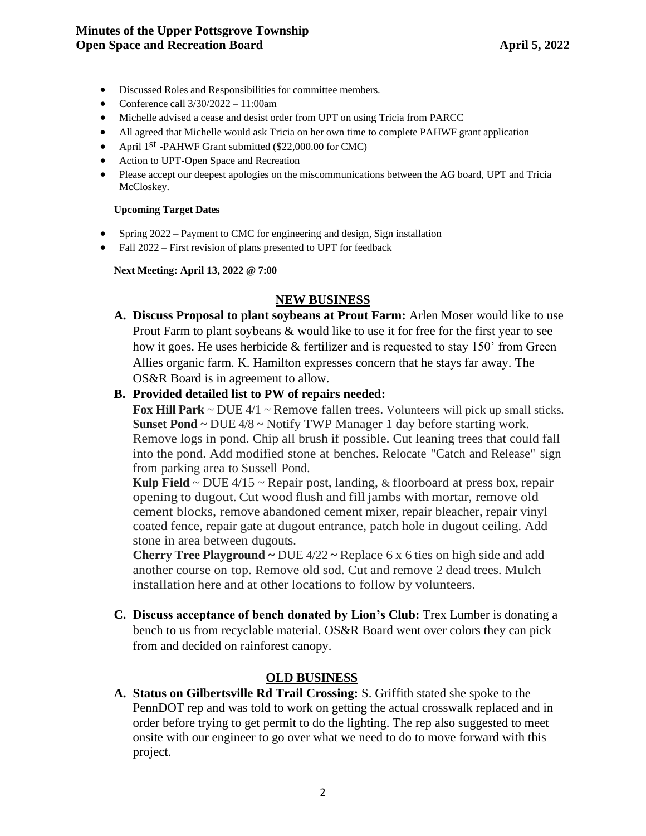#### **Minutes of the Upper Pottsgrove Township Open Space and Recreation Board April 5, 2022**

- Discussed Roles and Responsibilities for committee members.
- Conference call  $3/30/2022 11:00$ am
- Michelle advised a cease and desist order from UPT on using Tricia from PARCC
- All agreed that Michelle would ask Tricia on her own time to complete PAHWF grant application
- April 1<sup>st</sup> -PAHWF Grant submitted (\$22,000.00 for CMC)
- Action to UPT-Open Space and Recreation
- Please accept our deepest apologies on the miscommunications between the AG board, UPT and Tricia McCloskey.

#### **Upcoming Target Dates**

- Spring 2022 Payment to CMC for engineering and design, Sign installation
- Fall 2022 First revision of plans presented to UPT for feedback

#### **Next Meeting: April 13, 2022 @ 7:00**

### **NEW BUSINESS**

**A. Discuss Proposal to plant soybeans at Prout Farm:** Arlen Moser would like to use Prout Farm to plant soybeans & would like to use it for free for the first year to see how it goes. He uses herbicide  $&$  fertilizer and is requested to stay 150' from Green Allies organic farm. K. Hamilton expresses concern that he stays far away. The OS&R Board is in agreement to allow.

#### **B. Provided detailed list to PW of repairs needed:**

**Fox Hill Park**  $\sim$  DUE 4/1  $\sim$  Remove fallen trees. Volunteers will pick up small sticks. **Sunset Pond** ~ DUE 4/8 ~ Notify TWP Manager 1 day before starting work. Remove logs in pond. Chip all brush if possible. Cut leaning trees that could fall into the pond. Add modified stone at benches. Relocate "Catch and Release" sign from parking area to Sussell Pond.

**Kulp** Field  $\sim$  DUE 4/15  $\sim$  Repair post, landing, & floorboard at press box, repair opening to dugout. Cut wood flush and fill jambs with mortar, remove old cement blocks, remove abandoned cement mixer, repair bleacher, repair vinyl coated fence, repair gate at dugout entrance, patch hole in dugout ceiling. Add stone in area between dugouts.

**Cherry Tree Playground ~** DUE 4/22 **~** Replace 6 x 6 ties on high side and add another course on top. Remove old sod. Cut and remove 2 dead trees. Mulch installation here and at other locations to follow by volunteers.

**C. Discuss acceptance of bench donated by Lion's Club:** Trex Lumber is donating a bench to us from recyclable material. OS&R Board went over colors they can pick from and decided on rainforest canopy.

### **OLD BUSINESS**

**A. Status on Gilbertsville Rd Trail Crossing:** S. Griffith stated she spoke to the PennDOT rep and was told to work on getting the actual crosswalk replaced and in order before trying to get permit to do the lighting. The rep also suggested to meet onsite with our engineer to go over what we need to do to move forward with this project.